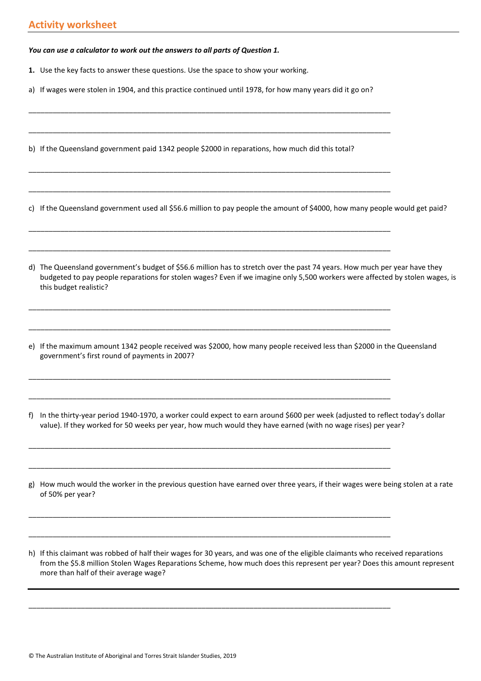*You can use a calculator to work out the answers to all parts of Question 1.*

- **1.** Use the key facts to answer these questions. Use the space to show your working.
- a) If wages were stolen in 1904, and this practice continued until 1978, for how many years did it go on?

\_\_\_\_\_\_\_\_\_\_\_\_\_\_\_\_\_\_\_\_\_\_\_\_\_\_\_\_\_\_\_\_\_\_\_\_\_\_\_\_\_\_\_\_\_\_\_\_\_\_\_\_\_\_\_\_\_\_\_\_\_\_\_\_\_\_\_\_\_\_\_\_\_\_\_\_\_\_\_\_\_\_\_\_\_\_\_\_\_\_

\_\_\_\_\_\_\_\_\_\_\_\_\_\_\_\_\_\_\_\_\_\_\_\_\_\_\_\_\_\_\_\_\_\_\_\_\_\_\_\_\_\_\_\_\_\_\_\_\_\_\_\_\_\_\_\_\_\_\_\_\_\_\_\_\_\_\_\_\_\_\_\_\_\_\_\_\_\_\_\_\_\_\_\_\_\_\_\_\_\_

\_\_\_\_\_\_\_\_\_\_\_\_\_\_\_\_\_\_\_\_\_\_\_\_\_\_\_\_\_\_\_\_\_\_\_\_\_\_\_\_\_\_\_\_\_\_\_\_\_\_\_\_\_\_\_\_\_\_\_\_\_\_\_\_\_\_\_\_\_\_\_\_\_\_\_\_\_\_\_\_\_\_\_\_\_\_\_\_\_\_

\_\_\_\_\_\_\_\_\_\_\_\_\_\_\_\_\_\_\_\_\_\_\_\_\_\_\_\_\_\_\_\_\_\_\_\_\_\_\_\_\_\_\_\_\_\_\_\_\_\_\_\_\_\_\_\_\_\_\_\_\_\_\_\_\_\_\_\_\_\_\_\_\_\_\_\_\_\_\_\_\_\_\_\_\_\_\_\_\_\_

\_\_\_\_\_\_\_\_\_\_\_\_\_\_\_\_\_\_\_\_\_\_\_\_\_\_\_\_\_\_\_\_\_\_\_\_\_\_\_\_\_\_\_\_\_\_\_\_\_\_\_\_\_\_\_\_\_\_\_\_\_\_\_\_\_\_\_\_\_\_\_\_\_\_\_\_\_\_\_\_\_\_\_\_\_\_\_\_\_\_

\_\_\_\_\_\_\_\_\_\_\_\_\_\_\_\_\_\_\_\_\_\_\_\_\_\_\_\_\_\_\_\_\_\_\_\_\_\_\_\_\_\_\_\_\_\_\_\_\_\_\_\_\_\_\_\_\_\_\_\_\_\_\_\_\_\_\_\_\_\_\_\_\_\_\_\_\_\_\_\_\_\_\_\_\_\_\_\_\_\_

\_\_\_\_\_\_\_\_\_\_\_\_\_\_\_\_\_\_\_\_\_\_\_\_\_\_\_\_\_\_\_\_\_\_\_\_\_\_\_\_\_\_\_\_\_\_\_\_\_\_\_\_\_\_\_\_\_\_\_\_\_\_\_\_\_\_\_\_\_\_\_\_\_\_\_\_\_\_\_\_\_\_\_\_\_\_\_\_\_\_

\_\_\_\_\_\_\_\_\_\_\_\_\_\_\_\_\_\_\_\_\_\_\_\_\_\_\_\_\_\_\_\_\_\_\_\_\_\_\_\_\_\_\_\_\_\_\_\_\_\_\_\_\_\_\_\_\_\_\_\_\_\_\_\_\_\_\_\_\_\_\_\_\_\_\_\_\_\_\_\_\_\_\_\_\_\_\_\_\_\_

\_\_\_\_\_\_\_\_\_\_\_\_\_\_\_\_\_\_\_\_\_\_\_\_\_\_\_\_\_\_\_\_\_\_\_\_\_\_\_\_\_\_\_\_\_\_\_\_\_\_\_\_\_\_\_\_\_\_\_\_\_\_\_\_\_\_\_\_\_\_\_\_\_\_\_\_\_\_\_\_\_\_\_\_\_\_\_\_\_\_

\_\_\_\_\_\_\_\_\_\_\_\_\_\_\_\_\_\_\_\_\_\_\_\_\_\_\_\_\_\_\_\_\_\_\_\_\_\_\_\_\_\_\_\_\_\_\_\_\_\_\_\_\_\_\_\_\_\_\_\_\_\_\_\_\_\_\_\_\_\_\_\_\_\_\_\_\_\_\_\_\_\_\_\_\_\_\_\_\_\_

\_\_\_\_\_\_\_\_\_\_\_\_\_\_\_\_\_\_\_\_\_\_\_\_\_\_\_\_\_\_\_\_\_\_\_\_\_\_\_\_\_\_\_\_\_\_\_\_\_\_\_\_\_\_\_\_\_\_\_\_\_\_\_\_\_\_\_\_\_\_\_\_\_\_\_\_\_\_\_\_\_\_\_\_\_\_\_\_\_\_

\_\_\_\_\_\_\_\_\_\_\_\_\_\_\_\_\_\_\_\_\_\_\_\_\_\_\_\_\_\_\_\_\_\_\_\_\_\_\_\_\_\_\_\_\_\_\_\_\_\_\_\_\_\_\_\_\_\_\_\_\_\_\_\_\_\_\_\_\_\_\_\_\_\_\_\_\_\_\_\_\_\_\_\_\_\_\_\_\_\_

\_\_\_\_\_\_\_\_\_\_\_\_\_\_\_\_\_\_\_\_\_\_\_\_\_\_\_\_\_\_\_\_\_\_\_\_\_\_\_\_\_\_\_\_\_\_\_\_\_\_\_\_\_\_\_\_\_\_\_\_\_\_\_\_\_\_\_\_\_\_\_\_\_\_\_\_\_\_\_\_\_\_\_\_\_\_\_\_\_\_

\_\_\_\_\_\_\_\_\_\_\_\_\_\_\_\_\_\_\_\_\_\_\_\_\_\_\_\_\_\_\_\_\_\_\_\_\_\_\_\_\_\_\_\_\_\_\_\_\_\_\_\_\_\_\_\_\_\_\_\_\_\_\_\_\_\_\_\_\_\_\_\_\_\_\_\_\_\_\_\_\_\_\_\_\_\_\_\_\_\_

\_\_\_\_\_\_\_\_\_\_\_\_\_\_\_\_\_\_\_\_\_\_\_\_\_\_\_\_\_\_\_\_\_\_\_\_\_\_\_\_\_\_\_\_\_\_\_\_\_\_\_\_\_\_\_\_\_\_\_\_\_\_\_\_\_\_\_\_\_\_\_\_\_\_\_\_\_\_\_\_\_\_\_\_\_\_\_\_\_\_

b) If the Queensland government paid 1342 people \$2000 in reparations, how much did this total?

c) If the Queensland government used all \$56.6 million to pay people the amount of \$4000, how many people would get paid?

- d) The Queensland government's budget of \$56.6 million has to stretch over the past 74 years. How much per year have they budgeted to pay people reparations for stolen wages? Even if we imagine only 5,500 workers were affected by stolen wages, is this budget realistic?
- e) If the maximum amount 1342 people received was \$2000, how many people received less than \$2000 in the Queensland government's first round of payments in 2007?
- f) In the thirty-year period 1940-1970, a worker could expect to earn around \$600 per week (adjusted to reflect today's dollar value). If they worked for 50 weeks per year, how much would they have earned (with no wage rises) per year?
- g) How much would the worker in the previous question have earned over three years, if their wages were being stolen at a rate of 50% per year?
- h) If this claimant was robbed of half their wages for 30 years, and was one of the eligible claimants who received reparations from the \$5.8 million Stolen Wages Reparations Scheme, how much does this represent per year? Does this amount represent more than half of their average wage?